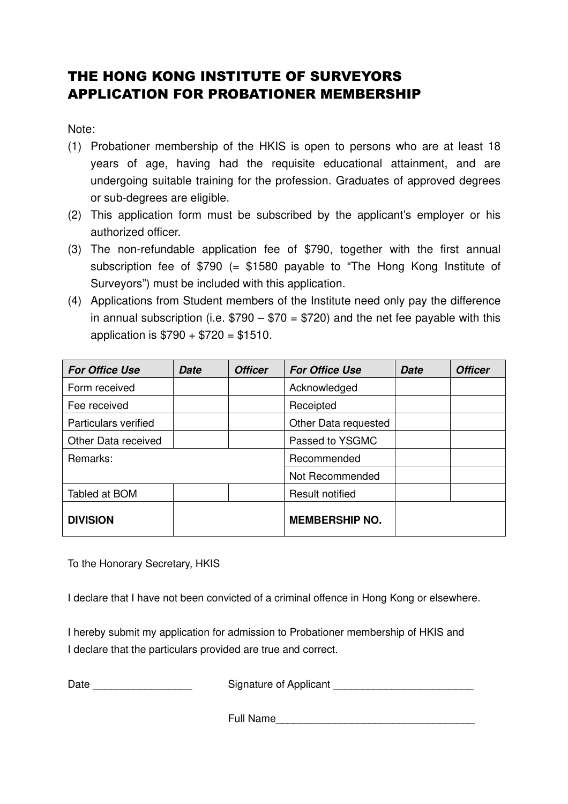## THE HONG KONG INSTITUTE OF SURVEYORS APPLICATION FOR PROBATIONER MEMBERSHIP

Note:

- (1) Probationer membership of the HKIS is open to persons who are at least 18 years of age, having had the requisite educational attainment, and are undergoing suitable training for the profession. Graduates of approved degrees or sub-degrees are eligible.
- (2) This application form must be subscribed by the applicant's employer or his authorized officer.
- (3) The non-refundable application fee of \$790, together with the first annual subscription fee of \$790 (= \$1580 payable to "The Hong Kong Institute of Surveyors") must be included with this application.
- (4) Applications from Student members of the Institute need only pay the difference in annual subscription (i.e.  $$790 - $70 = $720$ ) and the net fee payable with this application is  $$790 + $720 = $1510$ .

| <b>For Office Use</b> | Date | <b>Officer</b> | <b>For Office Use</b>  | <b>Date</b> | <b>Officer</b> |
|-----------------------|------|----------------|------------------------|-------------|----------------|
| Form received         |      |                | Acknowledged           |             |                |
| Fee received          |      |                | Receipted              |             |                |
| Particulars verified  |      |                | Other Data requested   |             |                |
| Other Data received   |      |                | Passed to YSGMC        |             |                |
| Remarks:              |      |                | Recommended            |             |                |
|                       |      |                | Not Recommended        |             |                |
| Tabled at BOM         |      |                | <b>Result notified</b> |             |                |
| <b>DIVISION</b>       |      |                | <b>MEMBERSHIP NO.</b>  |             |                |

To the Honorary Secretary, HKIS

I declare that I have not been convicted of a criminal offence in Hong Kong or elsewhere.

I hereby submit my application for admission to Probationer membership of HKIS and I declare that the particulars provided are true and correct.

Date \_\_\_\_\_\_\_\_\_\_\_\_\_\_\_\_\_\_\_\_\_\_\_\_\_\_\_\_\_\_\_\_\_\_\_Signature of Applicant \_\_\_\_\_\_\_\_\_\_\_\_\_\_\_\_\_

Full Name\_\_\_\_\_\_\_\_\_\_\_\_\_\_\_\_\_\_\_\_\_\_\_\_\_\_\_\_\_\_\_\_\_\_